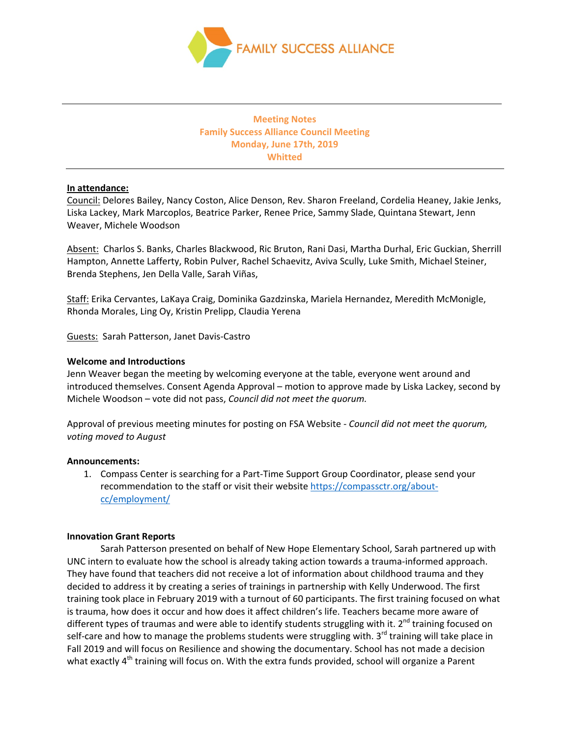

# **Meeting Notes Family Success Alliance Council Meeting Monday, June 17th, 2019 Whitted**

# **In attendance:**

Council: Delores Bailey, Nancy Coston, Alice Denson, Rev. Sharon Freeland, Cordelia Heaney, Jakie Jenks, Liska Lackey, Mark Marcoplos, Beatrice Parker, Renee Price, Sammy Slade, Quintana Stewart, Jenn Weaver, Michele Woodson

Absent: Charlos S. Banks, Charles Blackwood, Ric Bruton, Rani Dasi, Martha Durhal, Eric Guckian, Sherrill Hampton, Annette Lafferty, Robin Pulver, Rachel Schaevitz, Aviva Scully, Luke Smith, Michael Steiner, Brenda Stephens, Jen Della Valle, Sarah Viñas,

Staff: Erika Cervantes, LaKaya Craig, Dominika Gazdzinska, Mariela Hernandez, Meredith McMonigle, Rhonda Morales, Ling Oy, Kristin Prelipp, Claudia Yerena

Guests: Sarah Patterson, Janet Davis-Castro

# **Welcome and Introductions**

Jenn Weaver began the meeting by welcoming everyone at the table, everyone went around and introduced themselves. Consent Agenda Approval – motion to approve made by Liska Lackey, second by Michele Woodson – vote did not pass, *Council did not meet the quorum.*

Approval of previous meeting minutes for posting on FSA Website - *Council did not meet the quorum, voting moved to August*

### **Announcements:**

1. Compass Center is searching for a Part-Time Support Group Coordinator, please send your recommendation to the staff or visit their websit[e https://compassctr.org/about](https://compassctr.org/about-cc/employment/)[cc/employment/](https://compassctr.org/about-cc/employment/)

### **Innovation Grant Reports**

Sarah Patterson presented on behalf of New Hope Elementary School, Sarah partnered up with UNC intern to evaluate how the school is already taking action towards a trauma-informed approach. They have found that teachers did not receive a lot of information about childhood trauma and they decided to address it by creating a series of trainings in partnership with Kelly Underwood. The first training took place in February 2019 with a turnout of 60 participants. The first training focused on what is trauma, how does it occur and how does it affect children's life. Teachers became more aware of different types of traumas and were able to identify students struggling with it.  $2^{nd}$  training focused on self-care and how to manage the problems students were struggling with. 3<sup>rd</sup> training will take place in Fall 2019 and will focus on Resilience and showing the documentary. School has not made a decision what exactly 4<sup>th</sup> training will focus on. With the extra funds provided, school will organize a Parent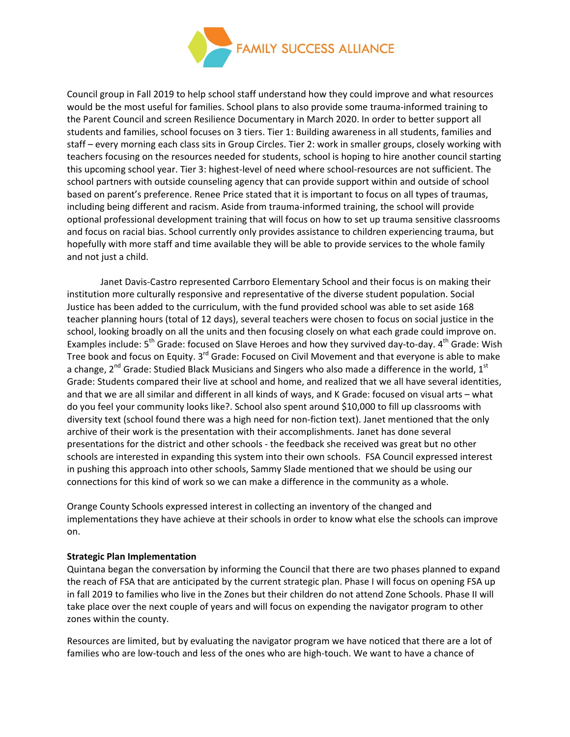

Council group in Fall 2019 to help school staff understand how they could improve and what resources would be the most useful for families. School plans to also provide some trauma-informed training to the Parent Council and screen Resilience Documentary in March 2020. In order to better support all students and families, school focuses on 3 tiers. Tier 1: Building awareness in all students, families and staff – every morning each class sits in Group Circles. Tier 2: work in smaller groups, closely working with teachers focusing on the resources needed for students, school is hoping to hire another council starting this upcoming school year. Tier 3: highest-level of need where school-resources are not sufficient. The school partners with outside counseling agency that can provide support within and outside of school based on parent's preference. Renee Price stated that it is important to focus on all types of traumas, including being different and racism. Aside from trauma-informed training, the school will provide optional professional development training that will focus on how to set up trauma sensitive classrooms and focus on racial bias. School currently only provides assistance to children experiencing trauma, but hopefully with more staff and time available they will be able to provide services to the whole family and not just a child.

Janet Davis-Castro represented Carrboro Elementary School and their focus is on making their institution more culturally responsive and representative of the diverse student population. Social Justice has been added to the curriculum, with the fund provided school was able to set aside 168 teacher planning hours (total of 12 days), several teachers were chosen to focus on social justice in the school, looking broadly on all the units and then focusing closely on what each grade could improve on. Examples include: 5<sup>th</sup> Grade: focused on Slave Heroes and how they survived day-to-day. 4<sup>th</sup> Grade: Wish Tree book and focus on Equity. 3<sup>rd</sup> Grade: Focused on Civil Movement and that everyone is able to make a change,  $2^{nd}$  Grade: Studied Black Musicians and Singers who also made a difference in the world,  $1^{st}$ Grade: Students compared their live at school and home, and realized that we all have several identities, and that we are all similar and different in all kinds of ways, and K Grade: focused on visual arts – what do you feel your community looks like?. School also spent around \$10,000 to fill up classrooms with diversity text (school found there was a high need for non-fiction text). Janet mentioned that the only archive of their work is the presentation with their accomplishments. Janet has done several presentations for the district and other schools - the feedback she received was great but no other schools are interested in expanding this system into their own schools. FSA Council expressed interest in pushing this approach into other schools, Sammy Slade mentioned that we should be using our connections for this kind of work so we can make a difference in the community as a whole.

Orange County Schools expressed interest in collecting an inventory of the changed and implementations they have achieve at their schools in order to know what else the schools can improve on.

### **Strategic Plan Implementation**

Quintana began the conversation by informing the Council that there are two phases planned to expand the reach of FSA that are anticipated by the current strategic plan. Phase I will focus on opening FSA up in fall 2019 to families who live in the Zones but their children do not attend Zone Schools. Phase II will take place over the next couple of years and will focus on expending the navigator program to other zones within the county.

Resources are limited, but by evaluating the navigator program we have noticed that there are a lot of families who are low-touch and less of the ones who are high-touch. We want to have a chance of